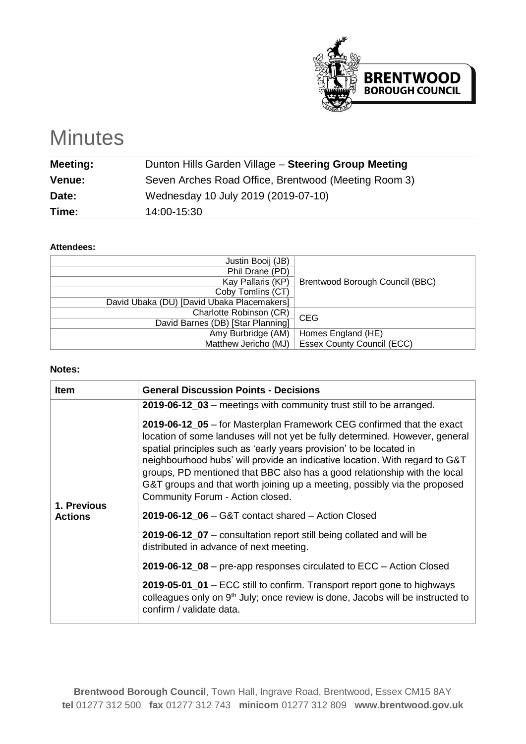

# **Minutes**

| <b>Meeting:</b> | Dunton Hills Garden Village - Steering Group Meeting |
|-----------------|------------------------------------------------------|
| <b>Venue:</b>   | Seven Arches Road Office, Brentwood (Meeting Room 3) |
| Date:           | Wednesday 10 July 2019 (2019-07-10)                  |
| Time:           | 14:00-15:30                                          |

#### **Attendees:**

| Justin Booij (JB)                          |                                   |
|--------------------------------------------|-----------------------------------|
| Phil Drane (PD)                            |                                   |
| Kay Pallaris (KP)                          | Brentwood Borough Council (BBC)   |
| Coby Tomlins (CT)                          |                                   |
| David Ubaka (DU) [David Ubaka Placemakers] |                                   |
| Charlotte Robinson (CR)                    | <b>CEG</b>                        |
| David Barnes (DB) [Star Planning]          |                                   |
| Amy Burbridge (AM)                         | Homes England (HE)                |
| Matthew Jericho (MJ)                       | <b>Essex County Council (ECC)</b> |

#### **Notes:**

| <b>Item</b>                   | <b>General Discussion Points - Decisions</b>                                                                                                                                                                                                                                                                                                                                                                                                                                                                                                                                                                                                                                                                                                                                                                                                                                                                                                                                                                                              |  |  |
|-------------------------------|-------------------------------------------------------------------------------------------------------------------------------------------------------------------------------------------------------------------------------------------------------------------------------------------------------------------------------------------------------------------------------------------------------------------------------------------------------------------------------------------------------------------------------------------------------------------------------------------------------------------------------------------------------------------------------------------------------------------------------------------------------------------------------------------------------------------------------------------------------------------------------------------------------------------------------------------------------------------------------------------------------------------------------------------|--|--|
| 1. Previous<br><b>Actions</b> | 2019-06-12_03 – meetings with community trust still to be arranged.<br>2019-06-12_05 - for Masterplan Framework CEG confirmed that the exact<br>location of some landuses will not yet be fully determined. However, general<br>spatial principles such as 'early years provision' to be located in<br>neighbourhood hubs' will provide an indicative location. With regard to G&T<br>groups, PD mentioned that BBC also has a good relationship with the local<br>G&T groups and that worth joining up a meeting, possibly via the proposed<br>Community Forum - Action closed.<br>2019-06-12 $06 - G&T$ contact shared $-$ Action Closed<br>2019-06-12_07 – consultation report still being collated and will be<br>distributed in advance of next meeting.<br>2019-06-12_08 – pre-app responses circulated to ECC – Action Closed<br>2019-05-01_01 – ECC still to confirm. Transport report gone to highways<br>colleagues only on 9 <sup>th</sup> July; once review is done, Jacobs will be instructed to<br>confirm / validate data. |  |  |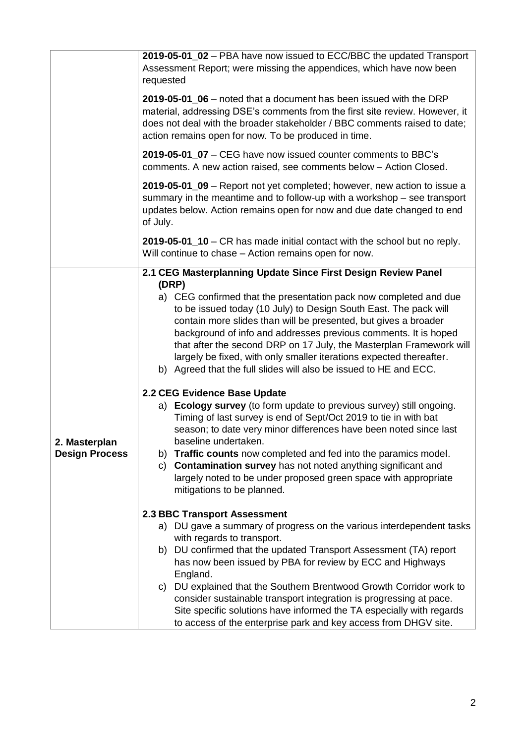| 2019-05-01_06 – noted that a document has been issued with the DRP<br>material, addressing DSE's comments from the first site review. However, it<br>does not deal with the broader stakeholder / BBC comments raised to date;<br>action remains open for now. To be produced in time.<br>2019-05-01_07 - CEG have now issued counter comments to BBC's<br>comments. A new action raised, see comments below - Action Closed.<br>2019-05-01_09 – Report not yet completed; however, new action to issue a<br>summary in the meantime and to follow-up with a workshop - see transport<br>updates below. Action remains open for now and due date changed to end<br>2019-05-01_10 – CR has made initial contact with the school but no reply.<br>Will continue to chase - Action remains open for now.<br>2.1 CEG Masterplanning Update Since First Design Review Panel                                                       |
|------------------------------------------------------------------------------------------------------------------------------------------------------------------------------------------------------------------------------------------------------------------------------------------------------------------------------------------------------------------------------------------------------------------------------------------------------------------------------------------------------------------------------------------------------------------------------------------------------------------------------------------------------------------------------------------------------------------------------------------------------------------------------------------------------------------------------------------------------------------------------------------------------------------------------|
|                                                                                                                                                                                                                                                                                                                                                                                                                                                                                                                                                                                                                                                                                                                                                                                                                                                                                                                              |
|                                                                                                                                                                                                                                                                                                                                                                                                                                                                                                                                                                                                                                                                                                                                                                                                                                                                                                                              |
|                                                                                                                                                                                                                                                                                                                                                                                                                                                                                                                                                                                                                                                                                                                                                                                                                                                                                                                              |
|                                                                                                                                                                                                                                                                                                                                                                                                                                                                                                                                                                                                                                                                                                                                                                                                                                                                                                                              |
| a) CEG confirmed that the presentation pack now completed and due<br>to be issued today (10 July) to Design South East. The pack will<br>contain more slides than will be presented, but gives a broader<br>background of info and addresses previous comments. It is hoped<br>that after the second DRP on 17 July, the Masterplan Framework will<br>largely be fixed, with only smaller iterations expected thereafter.<br>b) Agreed that the full slides will also be issued to HE and ECC.<br>a) Ecology survey (to form update to previous survey) still ongoing.<br>Timing of last survey is end of Sept/Oct 2019 to tie in with bat<br>season; to date very minor differences have been noted since last<br>b) Traffic counts now completed and fed into the paramics model.<br><b>Contamination survey</b> has not noted anything significant and<br>largely noted to be under proposed green space with appropriate |
| a) DU gave a summary of progress on the various interdependent tasks<br>b) DU confirmed that the updated Transport Assessment (TA) report<br>has now been issued by PBA for review by ECC and Highways<br>c) DU explained that the Southern Brentwood Growth Corridor work to                                                                                                                                                                                                                                                                                                                                                                                                                                                                                                                                                                                                                                                |
|                                                                                                                                                                                                                                                                                                                                                                                                                                                                                                                                                                                                                                                                                                                                                                                                                                                                                                                              |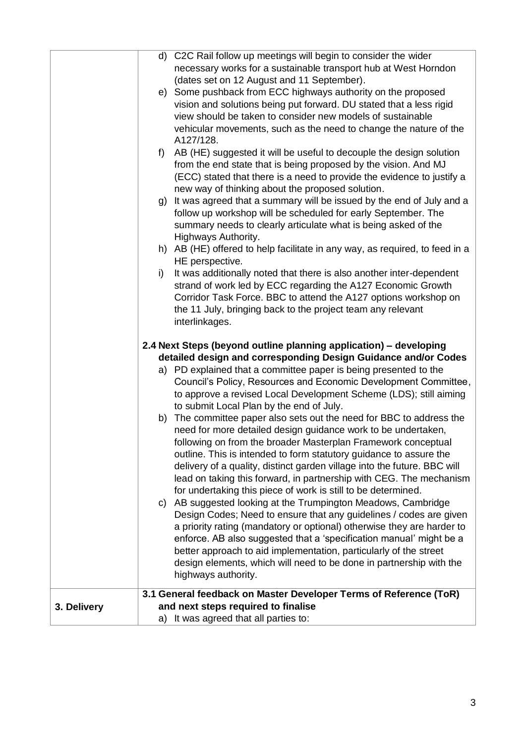|             |    | d) C2C Rail follow up meetings will begin to consider the wider              |
|-------------|----|------------------------------------------------------------------------------|
|             |    | necessary works for a sustainable transport hub at West Horndon              |
|             |    | (dates set on 12 August and 11 September).                                   |
|             |    |                                                                              |
|             |    | e) Some pushback from ECC highways authority on the proposed                 |
|             |    | vision and solutions being put forward. DU stated that a less rigid          |
|             |    | view should be taken to consider new models of sustainable                   |
|             |    | vehicular movements, such as the need to change the nature of the            |
|             |    | A127/128.                                                                    |
|             | f) | AB (HE) suggested it will be useful to decouple the design solution          |
|             |    | from the end state that is being proposed by the vision. And MJ              |
|             |    | (ECC) stated that there is a need to provide the evidence to justify a       |
|             |    | new way of thinking about the proposed solution.                             |
|             |    | g) It was agreed that a summary will be issued by the end of July and a      |
|             |    | follow up workshop will be scheduled for early September. The                |
|             |    | summary needs to clearly articulate what is being asked of the               |
|             |    | Highways Authority.                                                          |
|             |    | h) AB (HE) offered to help facilitate in any way, as required, to feed in a  |
|             |    | HE perspective.                                                              |
|             | i) | It was additionally noted that there is also another inter-dependent         |
|             |    | strand of work led by ECC regarding the A127 Economic Growth                 |
|             |    | Corridor Task Force. BBC to attend the A127 options workshop on              |
|             |    | the 11 July, bringing back to the project team any relevant                  |
|             |    | interlinkages.                                                               |
|             |    |                                                                              |
|             |    | 2.4 Next Steps (beyond outline planning application) - developing            |
|             |    | detailed design and corresponding Design Guidance and/or Codes               |
|             |    | a) PD explained that a committee paper is being presented to the             |
|             |    | Council's Policy, Resources and Economic Development Committee,              |
|             |    | to approve a revised Local Development Scheme (LDS); still aiming            |
|             |    | to submit Local Plan by the end of July.                                     |
|             |    | b) The committee paper also sets out the need for BBC to address the         |
|             |    | need for more detailed design guidance work to be undertaken,                |
|             |    | following on from the broader Masterplan Framework conceptual                |
|             |    | outline. This is intended to form statutory guidance to assure the           |
|             |    | delivery of a quality, distinct garden village into the future. BBC will     |
|             |    | lead on taking this forward, in partnership with CEG. The mechanism          |
|             |    | for undertaking this piece of work is still to be determined.                |
|             |    | c) AB suggested looking at the Trumpington Meadows, Cambridge                |
|             |    | Design Codes; Need to ensure that any guidelines / codes are given           |
|             |    | a priority rating (mandatory or optional) otherwise they are harder to       |
|             |    | enforce. AB also suggested that a 'specification manual' might be a          |
|             |    | better approach to aid implementation, particularly of the street            |
|             |    | design elements, which will need to be done in partnership with the          |
|             |    | highways authority.                                                          |
|             |    | 3.1 General feedback on Master Developer Terms of Reference (ToR)            |
| 3. Delivery |    | and next steps required to finalise<br>a) It was agreed that all parties to: |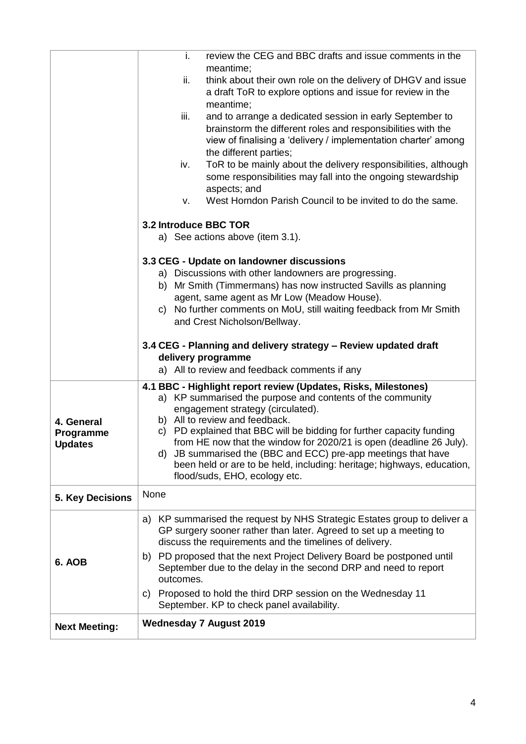|                                           | i.<br>review the CEG and BBC drafts and issue comments in the<br>meantime;<br>ii.<br>think about their own role on the delivery of DHGV and issue                                                                                                                                                                                                                                                                                                                                                                                                                                                                                                                                                                                                                                                                                                                                             |  |  |  |  |
|-------------------------------------------|-----------------------------------------------------------------------------------------------------------------------------------------------------------------------------------------------------------------------------------------------------------------------------------------------------------------------------------------------------------------------------------------------------------------------------------------------------------------------------------------------------------------------------------------------------------------------------------------------------------------------------------------------------------------------------------------------------------------------------------------------------------------------------------------------------------------------------------------------------------------------------------------------|--|--|--|--|
|                                           | a draft ToR to explore options and issue for review in the<br>meantime;<br>iii.<br>and to arrange a dedicated session in early September to<br>brainstorm the different roles and responsibilities with the<br>view of finalising a 'delivery / implementation charter' among<br>the different parties;<br>ToR to be mainly about the delivery responsibilities, although<br>iv.<br>some responsibilities may fall into the ongoing stewardship<br>aspects; and<br>West Horndon Parish Council to be invited to do the same.<br>v.                                                                                                                                                                                                                                                                                                                                                            |  |  |  |  |
|                                           | 3.2 Introduce BBC TOR<br>a) See actions above (item 3.1).                                                                                                                                                                                                                                                                                                                                                                                                                                                                                                                                                                                                                                                                                                                                                                                                                                     |  |  |  |  |
| 4. General<br>Programme<br><b>Updates</b> | 3.3 CEG - Update on landowner discussions<br>a) Discussions with other landowners are progressing.<br>b) Mr Smith (Timmermans) has now instructed Savills as planning<br>agent, same agent as Mr Low (Meadow House).<br>c) No further comments on MoU, still waiting feedback from Mr Smith<br>and Crest Nicholson/Bellway.<br>3.4 CEG - Planning and delivery strategy - Review updated draft<br>delivery programme<br>a) All to review and feedback comments if any<br>4.1 BBC - Highlight report review (Updates, Risks, Milestones)<br>a) KP summarised the purpose and contents of the community<br>engagement strategy (circulated).<br>b) All to review and feedback.<br>c) PD explained that BBC will be bidding for further capacity funding<br>from HE now that the window for 2020/21 is open (deadline 26 July).<br>d) JB summarised the (BBC and ECC) pre-app meetings that have |  |  |  |  |
|                                           | been held or are to be held, including: heritage; highways, education,<br>flood/suds, EHO, ecology etc.                                                                                                                                                                                                                                                                                                                                                                                                                                                                                                                                                                                                                                                                                                                                                                                       |  |  |  |  |
| 5. Key Decisions                          | None                                                                                                                                                                                                                                                                                                                                                                                                                                                                                                                                                                                                                                                                                                                                                                                                                                                                                          |  |  |  |  |
| 6. AOB                                    | a) KP summarised the request by NHS Strategic Estates group to deliver a<br>GP surgery sooner rather than later. Agreed to set up a meeting to<br>discuss the requirements and the timelines of delivery.<br>b) PD proposed that the next Project Delivery Board be postponed until<br>September due to the delay in the second DRP and need to report<br>outcomes.<br>c) Proposed to hold the third DRP session on the Wednesday 11<br>September. KP to check panel availability.                                                                                                                                                                                                                                                                                                                                                                                                            |  |  |  |  |
| <b>Next Meeting:</b>                      | <b>Wednesday 7 August 2019</b>                                                                                                                                                                                                                                                                                                                                                                                                                                                                                                                                                                                                                                                                                                                                                                                                                                                                |  |  |  |  |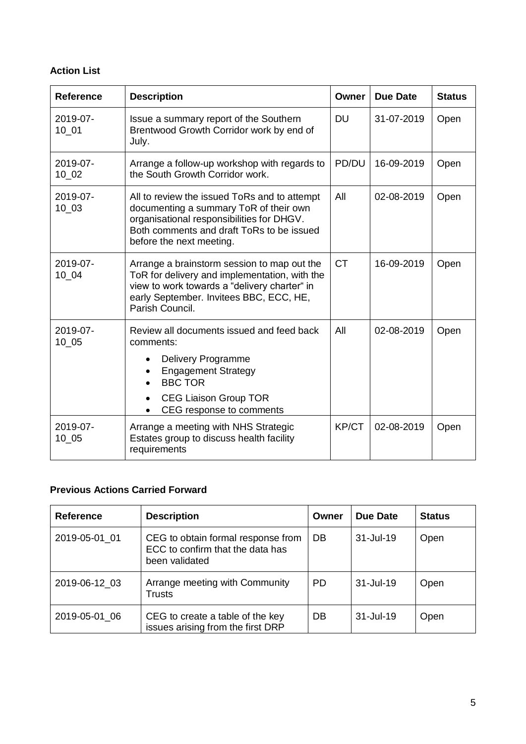### **Action List**

| <b>Reference</b>       | <b>Description</b>                                                                                                                                                                                           | Owner     | Due Date   | <b>Status</b> |
|------------------------|--------------------------------------------------------------------------------------------------------------------------------------------------------------------------------------------------------------|-----------|------------|---------------|
| 2019-07-<br>$10_01$    | Issue a summary report of the Southern<br>Brentwood Growth Corridor work by end of<br>July.                                                                                                                  | <b>DU</b> | 31-07-2019 | Open          |
| 2019-07-<br>10 02      | Arrange a follow-up workshop with regards to<br>the South Growth Corridor work.                                                                                                                              | PD/DU     | 16-09-2019 | Open          |
| $2019 - 07 -$<br>10 03 | All to review the issued ToRs and to attempt<br>documenting a summary ToR of their own<br>organisational responsibilities for DHGV.<br>Both comments and draft ToRs to be issued<br>before the next meeting. | All       | 02-08-2019 | Open          |
| 2019-07-<br>10 04      | Arrange a brainstorm session to map out the<br>ToR for delivery and implementation, with the<br>view to work towards a "delivery charter" in<br>early September. Invitees BBC, ECC, HE,<br>Parish Council.   | <b>CT</b> | 16-09-2019 | Open          |
| 2019-07-<br>10 05      | Review all documents issued and feed back<br>comments:<br><b>Delivery Programme</b><br><b>Engagement Strategy</b><br><b>BBC TOR</b><br><b>CEG Liaison Group TOR</b><br>$\bullet$<br>CEG response to comments | All       | 02-08-2019 | Open          |
| 2019-07-<br>$10_{-05}$ | Arrange a meeting with NHS Strategic<br>Estates group to discuss health facility<br>requirements                                                                                                             | KP/CT     | 02-08-2019 | Open          |

## **Previous Actions Carried Forward**

| <b>Reference</b> | <b>Description</b>                                                                       | Owner     | Due Date         | <b>Status</b> |
|------------------|------------------------------------------------------------------------------------------|-----------|------------------|---------------|
| 2019-05-01 01    | CEG to obtain formal response from<br>ECC to confirm that the data has<br>been validated | DB        | $31 -$ Jul $-19$ | Open          |
| 2019-06-12 03    | Arrange meeting with Community<br>Trusts                                                 | <b>PD</b> | $31 -$ Jul-19    | Open          |
| 2019-05-01 06    | CEG to create a table of the key<br>issues arising from the first DRP                    | DB        | $31 -$ Jul-19    | Open          |